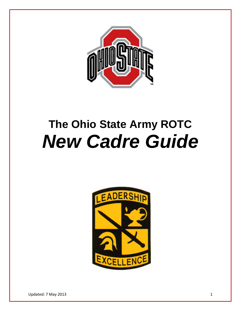

# **The Ohio State Army ROTC** *New Cadre Guide*

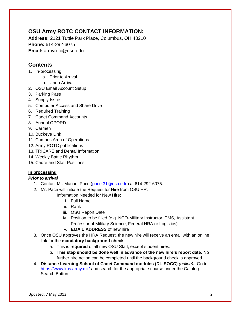# **OSU Army ROTC CONTACT INFORMATION:**

**Address:** 2121 Tuttle Park Place, Columbus, OH 43210 **Phone:** 614-292-6075 **Email:** armyrotc@osu.edu

# **Contents**

- 1. In-processing
	- a. Prior to Arrival
	- b. Upon Arrival
- 2. OSU Email Account Setup
- 3. Parking Pass
- 4. Supply Issue
- 5. Computer Access and Share Drive
- 6. Required Training
- 7. Cadet Command Accounts
- 8. Annual OPORD
- 9. Carmen
- 10. Buckeye Link
- 11. Campus Area of Operations
- 12. Army ROTC publications
- 13. TRICARE and Dental Information
- 14. Weekly Battle Rhythm
- 15. Cadre and Staff Positions

# **In processing**

# *Prior to arrival*

- 1. Contact Mr. Manuel Pace [\(pace.31@osu.edu\)](file://army-server/Cadre/New%20Cadre%20Guide/pace.31@osu.edu) at 614-292-6075.
- 2. Mr. Pace will initiate the Request for Hire from OSU HR.

Information Needed for New Hire:

- i. Full Name
- ii. Rank
- iii. OSU Report Date
- iv. Position to be filled (e.g. NCO-Military Instructor, PMS, Assistant Professor of Military Science, Federal HRA or Logistics)
- v. **EMAIL ADDRESS** of new hire
- 3. Once OSU approves the HRA Request, the new hire will receive an email with an online link for the **mandatory background check**.
	- a. This is **required** of all new OSU Staff, except student hires.
	- b. **This step should be done well in advance of the new hire's report date.** No further hire action can be completed until the background check is approved.
- 4. **Distance Learning School of Cadet Command modules (DL-SOCC)** *(online)***.** Go to <https://www.lms.army.mil/> and search for the appropriate course under the Catalog Search Button: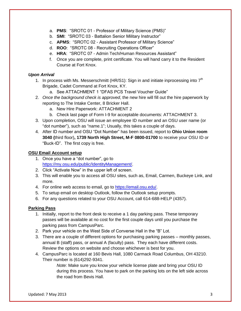- a. **PMS**: "SROTC 01 Professor of Military Science (PMS)"
- b. **SMI**: "SROTC 03 Battalion Senior Military Instructor"
- c. **APMS**: "SROTC 02 Assistant Professor of Military Science"
- d. **ROO**: "SROTC 08 Recruiting Operations Officer"
- e. **HRA**: "SROTC 07 Admin Tech/Human Resources Assistant"
- f. Once you are complete, print certificate. You will hand carry it to the Resident Course at Fort Knox.

#### *Upon Arrival*

- 1. In process with Ms. Messerschmitt (HR/S1): Sign in and initiate inprocessing into  $7<sup>th</sup>$ Brigade, Cadet Command at Fort Knox, KY.
	- a. See ATTACHMENT 1 "DFAS PCS Travel Voucher Guide"
- 2. *Once the background check is approved*, the new hire will fill out the hire paperwork by reporting to The Intake Center, 8 Bricker Hall.
	- a. New Hire Paperwork: ATTACHMENT 2
	- b. Check last page of Form I-9 for acceptable documents: ATTACHMENT 3.
- 3. Upon completion, OSU will issue an employee ID number and an OSU user name (or "dot number"), such as "name.1"; Usually, this takes a couple of days.
- 4. After ID number and OSU "Dot Number" has been issued, report to **Ohio Union room 3040 (**third floor)**, 1739 North High Street, M-F 0800-01700** to receive your OSU ID or "Buck-ID". The first copy is free.

#### **OSU Email Account setup**

- 1. Once you have a "dot number", go to [https://my.osu.edu/public/IdentityManagement/.](https://my.osu.edu/public/IdentityManagement/)
- 2. Click "Activate Now" in the upper left of screen.
- 3. This will enable you to access all OSU sites, such as, Email, Carmen, Buckeye Link, and more.
- 4. For online web access to email, go to [https://email.osu.edu/.](https://email.osu.edu/)
- 5. To setup email on desktop Outlook, follow the Outlook setup prompts.
- 6. For any questions related to your OSU Account, call 614-688-HELP (4357).

# **Parking Pass**

- 1. Initially, report to the front desk to receive a 1 day parking pass. These temporary passes will be available at no cost for the first couple days until you purchase the parking pass from CampusParc.
- 2. Park your vehicle on the West Side of Converse Hall in the "B" Lot.
- 3. There are a couple of different options for purchasing parking passes monthly passes, annual B (staff) pass, or annual A (faculty) pass. They each have different costs. Review the options on website and choose whichever is best for you.
- 4. CampusParc is located at 160 Bevis Hall, 1080 Carmack Road Columbus, OH 43210. Their number is (614)292-9341.

*Note:* Make sure you know your vehicle license plate and bring your OSU ID during this process. You have to park on the parking lots on the left side across the road from Bevis Hall.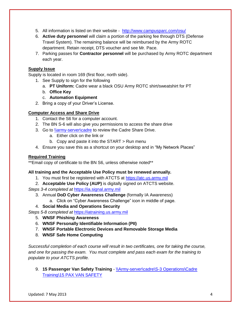- 5. All information is listed on their website <http://www.campusparc.com/osu/>
- 6. **Active duty personnel** will claim a portion of the parking fee through DTS (Defense Travel System). The remaining balance will be reimbursed by the Army ROTC department. Retain receipt, DTS voucher and see Mr. Pace.
- 7. Parking passes for **Contractor personnel** will be purchased by Army ROTC department each year.

### **Supply Issue**

Supply is located in room 169 (first floor, north side).

- 1. See Supply to sign for the following
	- a. **PT Uniform:** Cadre wear a black OSU Army ROTC shirt/sweatshirt for PT
	- b. **Office Key**
	- c. **Automation Equipment**
- 2. Bring a copy of your Driver's License.

### **Computer Access and Share Drive**

- 1. Contact the S6 for a computer account.
- 2. The BN S-6 will also give you permissions to access the share drive
- 3. Go to *\\army-server\cadre to review the Cadre Share Drive.* 
	- a. Either click on the link or
	- b. Copy and paste it into the START > Run menu
- 4. Ensure you save this as a shortcut on your desktop and in "My Network Places"

# **Required Training**

\*\*Email copy of certificate to the BN S6, unless otherwise noted\*\*

#### **All training and the Acceptable Use Policy must be renewed annually.**

- 1. You must first be registered with ATCTS at [https://atc.us.army.mil](https://atc.us.army.mil/)
- 2. **Acceptable Use Policy (AUP)** is digitally signed on ATCTS website.

*Steps 3-4 completed at* [https://ia.signal.army.mil](https://ia.signal.army.mil/)

- 3. Annual **DoD Cyber Awareness Challenge** (formally IA Awareness)
	- a. Click on "Cyber Awareness Challenge" icon in middle of page.
- 4. **Social Media and Operations Security**

*Steps 5-8 completed at* [https://iatraining.us.army.mil](https://iatraining.us.army.mil/)

- 5. **WNSF Phishing Awareness**
- 6. **WNSF Personally Identifiable Information (PII)**
- 7. **WNSF Portable Electronic Devices and Removable Storage Media**
- 8. **WNSF Safe Home Computing**

*Successful completion of each course will result in two certificates, one for taking the course, and one for passing the exam. You must complete and pass each exam for the training to populate to your ATCTS profile.*

9. **15 Passenger Van Safety Training** - [\\Army-server\cadre\S-3 Operations\Cadre](file://Army-server/cadre/S-3%20Operations/Cadre%20Training/15%20PAX%20VAN%20SAFETY)  [Training\15 PAX VAN SAFETY](file://Army-server/cadre/S-3%20Operations/Cadre%20Training/15%20PAX%20VAN%20SAFETY)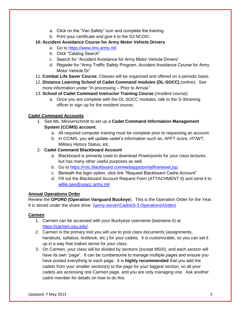- a. Click on the "Van Safety" icon and complete the training.
- b. Print your certificate and give it to the S3 NCOIC.

# **10. Accident Avoidance Course for Army Motor Vehicle Drivers**

- a. Go to [https://www.lms.army.mil](https://www.lms.army.mil/)
- b. Click "Catalog Search"
- c. Search for "Accident Avoidance for Army Motor Vehicle Drivers"
- d. Register for "Army Traffic Safety Program, Accident Avoidance Course for Army Motor Vehicle Dr"
- 11. **Combat Life Saver Course**. Classes will be organized and offered on a periodic basis.
- 12. **Distance Learning School of Cadet Command modules (DL-SOCC)** *(online)***.** See more information under "In processing – Prior to Arrival."
- 13. **School of Cadet Command Instructor Training Course** *(resident course):* 
	- a. Once you are complete with the DL-SOCC modules, talk to the S-3/training officer to sign up for the resident course.

### **Cadet Command Accounts**

- 1. See Ms. Messerschmitt to set up a **Cadet Command Information Management System (CCIMS) account**.
	- a. All required computer training must be complete prior to requesting an account.
	- b. In CCIMS, you will update cadet's information such as, APFT score, HT/WT, Military History Status, etc.

### 2. **Cadet Command Blackboard Account**

- a. Blackboard is primarily used to download Powerpoints for your class lectures, but has many other useful purposes as well.
- b. Go to [https://rotc.blackboard.com/webapps/portal/frameset.jsp.](https://rotc.blackboard.com/webapps/portal/frameset.jsp)
- c. Beneath the login option, click link "Request Blackboard Cadre Account"
- d. Fill out the Blackboard Account Request Form (ATTACHMENT 4) and send it to [willie.gee@usacc.army.mil.](file://army-server/Cadre/New%20Cadre%20Guide/willie.gee@usacc.army.mil)

#### **Annual Operations Order**

Review the **OPORD (Operation Vanguard Buckeye**). This is the Operation Order for the Year. It is stored under the share drive: [\\army-server\Cadre\S-3 Operations\Orders](file://army-server/Cadre/S-3%20Operations/Orders)

#### **Carmen**

- 1. Carmen can be accessed with your Buckyeye username (lastname.#) at <https://carmen.osu.edu/>
- 2. Carmen is the primary tool you will use to post class documents (assignments, handouts, syllabus, textbook, etc.) for your cadets. It is customizable, so you can set it up in a way that makes sense for your class.
- 3. On Carmen, your class will be divided by sections (except MSIII), and each section will have its own "page". It can be cumbersome to manage multiple pages and ensure you have posted everything to each page. It is **highly recommended** that you add the cadets from your smaller section(s) to the page for your biggest section, so all your cadets are accessing one Carmen page, and you are only managing one. Ask another cadre member for details on how to do this.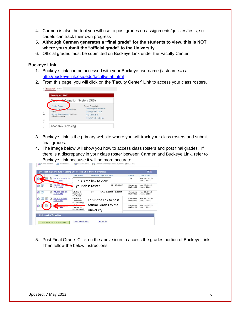- 4. Carmen is also the tool you will use to post grades on assignments/quizzes/tests, so cadets can track their own progress
- 5. **Although Carmen generates a "final grade" for the students to view, this is NOT where you submit the "official grade" to the University.**
- 6. Official grades must be submitted on Buckeye Link under the Faculty Center.

#### **Buckeye Link**

- 1. Buckeye Link can be accessed with your Buckeye username (lastname.#) at <http://buckeyelink.osu.edu/facultystaff.html>
- 2. From this page, you will click on the 'Faculty Center' Link to access your class rosters.



- 3. Buckeye Link is the primary website where you will track your class rosters and submit final grades.
- 4. The image below will show you how to access class rosters and post final grades. If there is a discrepancy in your class roster between Carmen and Buckeye Link, refer to Buckeye Link because it will be more accurate.<br>Alass Roster **in Still Gradebook** en ex Grade Roster **ing Learning Management System im**sel Into  $88$

|   |            |   | Class                               | <b>Class Name</b>                     | <b>Enrolled Days and Time</b> |                      | Room                         | <b>Class Dates</b>           |
|---|------------|---|-------------------------------------|---------------------------------------|-------------------------------|----------------------|------------------------------|------------------------------|
|   | 25         | 昏 | MILSCI 203-0010<br><b>LEC 18013</b> |                                       | This is the link to view      |                      | <b>TBA</b>                   | Mar 26, 2012-<br>Jun 1, 2012 |
|   | 88 烈       | 齏 | MILSCI 203<br><b>LEC 21441</b>      |                                       | your class roster             | M - 10:18AM          | Converse<br><b>Hall 0239</b> | Mar 26, 2012-<br>Jun 1, 2012 |
|   | 88 烈       | 衢 | MILSCI 203-30<br><b>LEC 21442</b>   | Ldrship &<br>Teamwork<br>(Lecture)    | 18                            | MoWe 2:30PM - 3:18PM | Converse<br><b>Hall 0239</b> | Mar 26, 2012-<br>Jun 1, 2012 |
|   | 88 烈<br>통인 | 昏 | <b>MILSCI 203-50</b><br>LAB 21443   | Ldrship &<br>Teamvork<br>(Laboratory) | This is the link to post      |                      | Converse<br><b>Hall 0227</b> | Mar 26, 2012-<br>Jun 1, 2012 |
| ĥ | 郾          |   | 601, 202, 70<br>21444               | 1.1.1<br>Teamvork                     | official Grades to the        |                      | Converse<br><b>Hall 0227</b> | Mar 26, 2012-<br>Jun 1, 2012 |
|   |            |   |                                     | (Laboratory)                          | University.                   |                      |                              |                              |
|   |            |   | * My Favorite Websites              |                                       |                               |                      |                              |                              |

5. Post Final Grade: Click on the above icon to access the grades portion of Buckeye Link. Then follow the below instructions.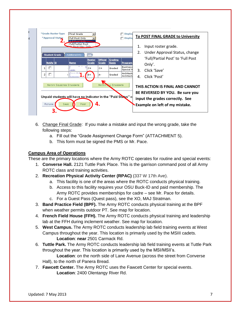| ۲t | *Grade Roster Type<br>Final Grade<br><b>Display</b><br>п<br>*Approval Status<br>Display<br>Full Post Only<br>Full/Partial Post<br>No Post-View Only |                 |                        |                          |                                |                               |              | To POST FINAL GRADE to University<br>Input roster grade.                                             |
|----|-----------------------------------------------------------------------------------------------------------------------------------------------------|-----------------|------------------------|--------------------------|--------------------------------|-------------------------------|--------------|------------------------------------------------------------------------------------------------------|
|    | <b>Student Grade</b>                                                                                                                                | Additional Info | <b>EXI</b>             |                          | 2.                             | Under Approval Status, change |              |                                                                                                      |
|    | <b>Notify ID</b>                                                                                                                                    | Name            | <b>Roster</b><br>Grade | <b>Official</b><br>Grade | <b>Grading</b><br><b>Basis</b> | Program                       |              | 'Full/Partial Post' to 'Full Post                                                                    |
|    | г<br>$\mathbf{1}$                                                                                                                                   | $-1$<br>$-9151$ | $c+$                   | $C +$                    | Graded                         | <b>Business</b><br>Special M  | $\mathbf{R}$ | Only'.                                                                                               |
|    | г<br>$\overline{2}$                                                                                                                                 | Cove Vul        | $B +$                  | $A -$                    | Graded                         | Architectu<br>Architectu      | 4.           | Click 'Save'<br>Click 'Post'                                                                         |
|    | <b>NOTIFY SELECTED STUDENTS</b><br>LL STUDENTS<br><b>NOTIFY</b>                                                                                     |                 |                        |                          |                                |                               |              | THIS ACTION IS FINAL AND CANNOT                                                                      |
|    | Unpaid students will have no indicator in the "Paid Status" c<br>4.<br>RETURN<br><b>SAVE</b><br>Post                                                |                 |                        |                          |                                |                               |              | BE REVERSED BY YOU. Be sure you<br>input the grades correctly. See<br>Example on left of my mistake. |

- 6. Change Final Grade: If you make a mistake and input the wrong grade, take the following steps:
	- a. Fill out the "Grade Assignment Change Form" (ATTACHMENT 5).
	- b. This form must be signed the PMS or Mr. Pace.

# **Campus Area of Operations**

These are the primary locations where the Army ROTC operates for routine and special events:

- 1. **Converse Hall.** 2121 Tuttle Park Place. This is the garrison command post of all Army ROTC class and training activities.
- 2. **Recreation Physical Activity Center (RPAC)** (337 W 17th Ave).
	- a. This facility is one of the areas where the ROTC conducts physical training.
	- b. Access to this facility requires your OSU Buck-ID and paid membership. The Army ROTC provides memberships for cadre – see Mr. Pace for details.
	- c. For a Guest Pass (Quest pass), see the XO, MAJ Stratman.
- 3. **Band Practice Field (BPF).** The Army ROTC conducts physical training at the BPF when weather permits outdoor PT. See map for location.
- 4. **French Field House (FFH).** The Army ROTC conducts physical training and leadership lab at the FFH during inclement weather. See map for location.
- 5. **West Campus.** The Army ROTC conducts leadership lab field training events at West Campus throughout the year. This location is primarily used by the MSIII cadets. **Location**: **near** 2501 Carmack Rd.
- 6. **Tuttle Park.** The Army ROTC conducts leadership lab field training events at Tuttle Park throughout the year. This location is primarily used by the MSI/MSII's.

**Location**: on the north side of Lane Avenue (across the street from Converse Hall), to the north of Panera Bread.

7. **Fawcett Center.** The Army ROTC uses the Fawcett Center for special events. **Location**: 2400 Olentangy River Rd.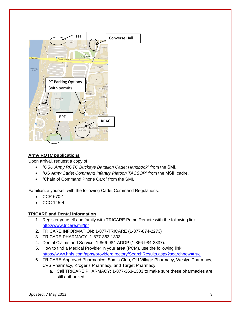

# **Army ROTC publications**

Upon arrival, request a copy of:

- "*OSU Army ROTC Buckeye Battalion Cadet Handbook*" from the SMI.
- "*US Army Cadet Command Infantry Platoon TACSOP*" from the MSIII cadre.
- "Chain of Command Phone Card" from the SMI.

Familiarize yourself with the following Cadet Command Regulations:

- CCR 670-1
- CCC 145-4

#### **TRICARE and Dental Information**

- 1. Register yourself and family with TRICARE Prime Remote with the following link <http://www.tricare.mil/tpr>
- 2. TRICARE INFORMATION: 1-877-TRICARE (1-877-874-2273)
- 3. TRICARE PHARMACY: 1-877-363-1303
- 4. Dental Claims and Service: 1-866-984-ADDP (1-866-984-2337).
- 5. How to find a Medical Provider in your area (PCM), use the following link: <https://www.hnfs.com/apps/providerdirectory/SearchResults.aspx?searchnow=true>
- 6. TRICARE Approved Pharmacies: Sam's Club, Old Village Pharmacy, Weslyn Pharmacy, CVS Pharmacy, Kroger's Pharmacy, and Target Pharmacy.
	- a. Call TRICARE PHARMACY: 1-877-363-1303 to make sure these pharmacies are still authorized.